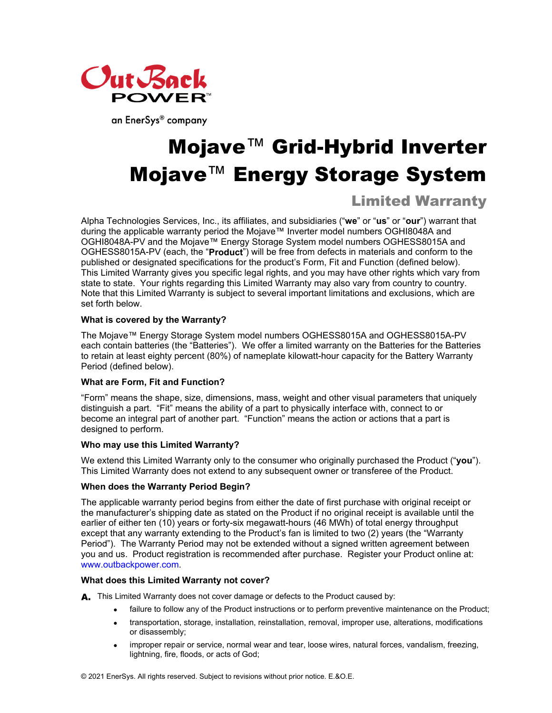

an EnerSys® company

# Mojave™ Grid-Hybrid Inverter Mojave™ Energy Storage System

# Limited Warranty

Alpha Technologies Services, Inc., its affiliates, and subsidiaries ("**we**" or "**us**" or "**our**") warrant that during the applicable warranty period the Mojave™ Inverter model numbers OGHI8048A and OGHI8048A-PV and the Mojave™ Energy Storage System model numbers OGHESS8015A and OGHESS8015A-PV (each, the "**Product**") will be free from defects in materials and conform to the published or designated specifications for the product's Form, Fit and Function (defined below). This Limited Warranty gives you specific legal rights, and you may have other rights which vary from state to state. Your rights regarding this Limited Warranty may also vary from country to country. Note that this Limited Warranty is subject to several important limitations and exclusions, which are set forth below.

# **What is covered by the Warranty?**

The Mojave™ Energy Storage System model numbers OGHESS8015A and OGHESS8015A-PV each contain batteries (the "Batteries"). We offer a limited warranty on the Batteries for the Batteries to retain at least eighty percent (80%) of nameplate kilowatt-hour capacity for the Battery Warranty Period (defined below).

# **What are Form, Fit and Function?**

"Form" means the shape, size, dimensions, mass, weight and other visual parameters that uniquely distinguish a part. "Fit" means the ability of a part to physically interface with, connect to or become an integral part of another part. "Function" means the action or actions that a part is designed to perform.

# **Who may use this Limited Warranty?**

We extend this Limited Warranty only to the consumer who originally purchased the Product ("**you**"). This Limited Warranty does not extend to any subsequent owner or transferee of the Product.

# **When does the Warranty Period Begin?**

The applicable warranty period begins from either the date of first purchase with original receipt or the manufacturer's shipping date as stated on the Product if no original receipt is available until the earlier of either ten (10) years or forty-six megawatt-hours (46 MWh) of total energy throughput except that any warranty extending to the Product's fan is limited to two (2) years (the "Warranty Period"). The Warranty Period may not be extended without a signed written agreement between you and us. Product registration is recommended after purchase. Register your Product online at: www.outbackpower.com.

# **What does this Limited Warranty not cover?**

A. This Limited Warranty does not cover damage or defects to the Product caused by:

- failure to follow any of the Product instructions or to perform preventive maintenance on the Product;
- transportation, storage, installation, reinstallation, removal, improper use, alterations, modifications or disassembly;
- improper repair or service, normal wear and tear, loose wires, natural forces, vandalism, freezing, lightning, fire, floods, or acts of God;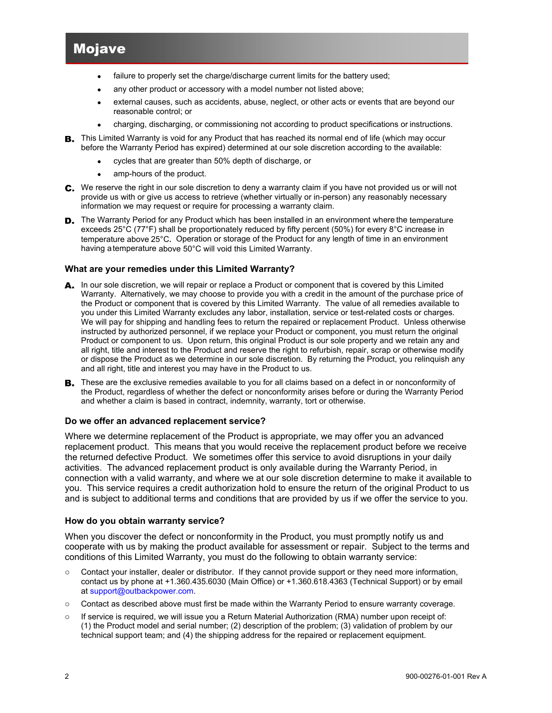# Mojave

- failure to properly set the charge/discharge current limits for the battery used;
- any other product or accessory with a model number not listed above;
- external causes, such as accidents, abuse, neglect, or other acts or events that are beyond our reasonable control; or
- charging, discharging, or commissioning not according to product specifications or instructions.
- B. This Limited Warranty is void for any Product that has reached its normal end of life (which may occur before the Warranty Period has expired) determined at our sole discretion according to the available:
	- cycles that are greater than 50% depth of discharge, or
	- amp-hours of the product.
- We reserve the right in our sole discretion to deny a warranty claim if you have not provided us or will not provide us with or give us access to retrieve (whether virtually or in-person) any reasonably necessary information we may request or require for processing a warranty claim.
- **D.** The Warranty Period for any Product which has been installed in an environment where the temperature exceeds 25°C (77°F) shall be proportionately reduced by fifty percent (50%) for every 8°C increase in temperature above 25°C**.** Operation or storage of the Product for any length of time in an environment having a temperature above 50°C will void this Limited Warranty.

#### **What are your remedies under this Limited Warranty?**

- A. In our sole discretion, we will repair or replace a Product or component that is covered by this Limited Warranty. Alternatively, we may choose to provide you with a credit in the amount of the purchase price of the Product or component that is covered by this Limited Warranty. The value of all remedies available to you under this Limited Warranty excludes any labor, installation, service or test-related costs or charges. We will pay for shipping and handling fees to return the repaired or replacement Product. Unless otherwise instructed by authorized personnel, if we replace your Product or component, you must return the original Product or component to us. Upon return, this original Product is our sole property and we retain any and all right, title and interest to the Product and reserve the right to refurbish, repair, scrap or otherwise modify or dispose the Product as we determine in our sole discretion. By returning the Product, you relinquish any and all right, title and interest you may have in the Product to us.
- B. These are the exclusive remedies available to you for all claims based on a defect in or nonconformity of the Product, regardless of whether the defect or nonconformity arises before or during the Warranty Period and whether a claim is based in contract, indemnity, warranty, tort or otherwise.

#### **Do we offer an advanced replacement service?**

Where we determine replacement of the Product is appropriate, we may offer you an advanced replacement product. This means that you would receive the replacement product before we receive the returned defective Product. We sometimes offer this service to avoid disruptions in your daily activities. The advanced replacement product is only available during the Warranty Period, in connection with a valid warranty, and where we at our sole discretion determine to make it available to you. This service requires a credit authorization hold to ensure the return of the original Product to us and is subject to additional terms and conditions that are provided by us if we offer the service to you.

#### **How do you obtain warranty service?**

When you discover the defect or nonconformity in the Product, you must promptly notify us and cooperate with us by making the product available for assessment or repair. Subject to the terms and conditions of this Limited Warranty, you must do the following to obtain warranty service:

- o Contact your installer, dealer or distributor. If they cannot provide support or they need more information, contact us by phone at +1.360.435.6030 (Main Office) or +1.360.618.4363 (Technical Support) or by email at support@outbackpower.com.
- o Contact as described above must first be made within the Warranty Period to ensure warranty coverage.
- o If service is required, we will issue you a Return Material Authorization (RMA) number upon receipt of: (1) the Product model and serial number; (2) description of the problem; (3) validation of problem by our technical support team; and (4) the shipping address for the repaired or replacement equipment.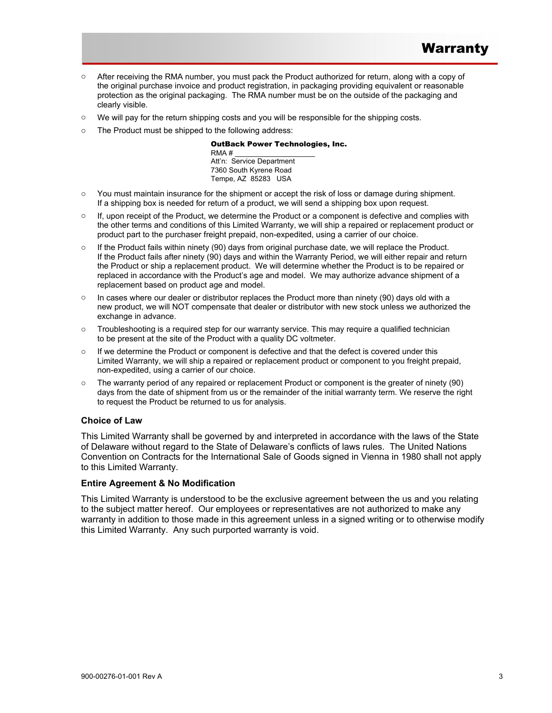- o After receiving the RMA number, you must pack the Product authorized for return, along with a copy of the original purchase invoice and product registration, in packaging providing equivalent or reasonable protection as the original packaging. The RMA number must be on the outside of the packaging and clearly visible.
- o We will pay for the return shipping costs and you will be responsible for the shipping costs.
- o The Product must be shipped to the following address:

#### OutBack Power Technologies, Inc.

 $RMA \#$ Att'n: Service Department 7360 South Kyrene Road Tempe, AZ 85283 USA

- o You must maintain insurance for the shipment or accept the risk of loss or damage during shipment. If a shipping box is needed for return of a product, we will send a shipping box upon request.
- $\circ$  If, upon receipt of the Product, we determine the Product or a component is defective and complies with the other terms and conditions of this Limited Warranty, we will ship a repaired or replacement product or product part to the purchaser freight prepaid, non-expedited, using a carrier of our choice.
- $\circ$  If the Product fails within ninety (90) days from original purchase date, we will replace the Product. If the Product fails after ninety (90) days and within the Warranty Period, we will either repair and return the Product or ship a replacement product. We will determine whether the Product is to be repaired or replaced in accordance with the Product's age and model. We may authorize advance shipment of a replacement based on product age and model.
- $\circ$  In cases where our dealer or distributor replaces the Product more than ninety (90) days old with a new product, we will NOT compensate that dealer or distributor with new stock unless we authorized the exchange in advance.
- $\circ$  Troubleshooting is a required step for our warranty service. This may require a qualified technician to be present at the site of the Product with a quality DC voltmeter.
- o If we determine the Product or component is defective and that the defect is covered under this Limited Warranty, we will ship a repaired or replacement product or component to you freight prepaid, non-expedited, using a carrier of our choice.
- o The warranty period of any repaired or replacement Product or component is the greater of ninety (90) days from the date of shipment from us or the remainder of the initial warranty term. We reserve the right to request the Product be returned to us for analysis.

# **Choice of Law**

This Limited Warranty shall be governed by and interpreted in accordance with the laws of the State of Delaware without regard to the State of Delaware's conflicts of laws rules. The United Nations Convention on Contracts for the International Sale of Goods signed in Vienna in 1980 shall not apply to this Limited Warranty.

#### **Entire Agreement & No Modification**

This Limited Warranty is understood to be the exclusive agreement between the us and you relating to the subject matter hereof. Our employees or representatives are not authorized to make any warranty in addition to those made in this agreement unless in a signed writing or to otherwise modify this Limited Warranty. Any such purported warranty is void.